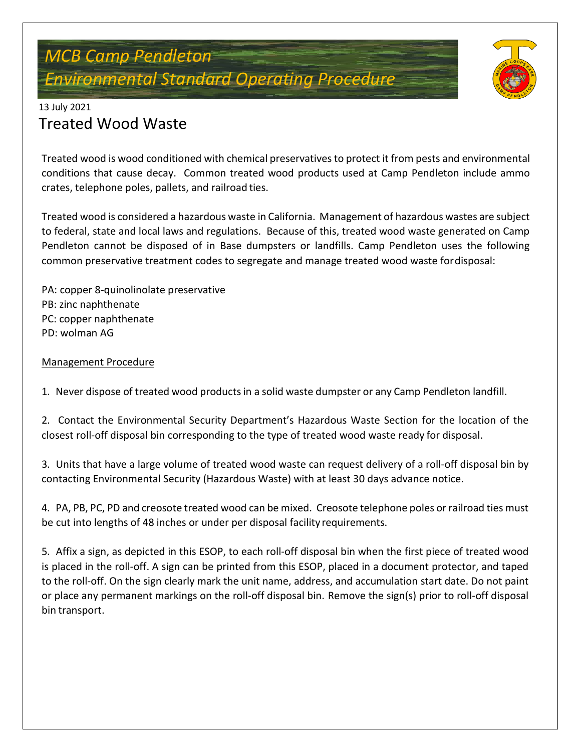# *MCB Camp Pendleton Environmental Standard Operating Procedure*



#### 13 July 2021

## Treated Wood Waste

Treated wood is wood conditioned with chemical preservativesto protect it from pests and environmental conditions that cause decay. Common treated wood products used at Camp Pendleton include ammo crates, telephone poles, pallets, and railroad ties.

Treated wood is considered a hazardous waste in California. Management of hazardous wastes are subject to federal, state and local laws and regulations. Because of this, treated wood waste generated on Camp Pendleton cannot be disposed of in Base dumpsters or landfills. Camp Pendleton uses the following common preservative treatment codes to segregate and manage treated wood waste fordisposal:

PA: copper 8-quinolinolate preservative PB: zinc naphthenate PC: copper naphthenate PD: wolman AG

### Management Procedure

1. Never dispose of treated wood products in a solid waste dumpster or any Camp Pendleton landfill.

2. Contact the Environmental Security Department's Hazardous Waste Section for the location of the closest roll-off disposal bin corresponding to the type of treated wood waste ready for disposal.

3. Units that have a large volume of treated wood waste can request delivery of a roll-off disposal bin by contacting Environmental Security (Hazardous Waste) with at least 30 days advance notice.

4. PA, PB, PC, PD and creosote treated wood can be mixed. Creosote telephone poles or railroad ties must be cut into lengths of 48 inches or under per disposal facility requirements.

5. Affix a sign, as depicted in this ESOP, to each roll-off disposal bin when the first piece of treated wood is placed in the roll-off. A sign can be printed from this ESOP, placed in a document protector, and taped to the roll-off. On the sign clearly mark the unit name, address, and accumulation start date. Do not paint or place any permanent markings on the roll-off disposal bin. Remove the sign(s) prior to roll-off disposal bin transport.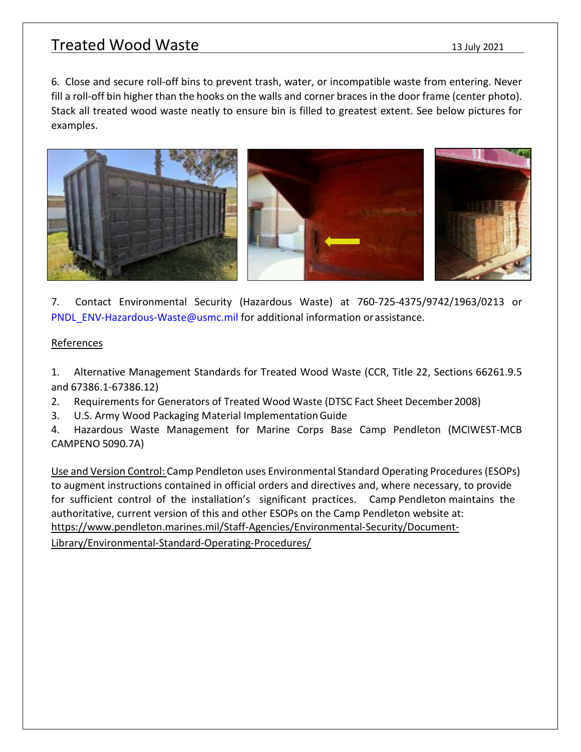## Treated Wood Waste 13 July 2021

6. Close and secure roll-off bins to prevent trash, water, or incompatible waste from entering. Never fill a roll-off bin higher than the hooks on the walls and corner braces in the door frame (center photo). Stack all treated wood waste neatly to ensure bin is filled to greatest extent. See below pictures for examples.



7. Contact Environmental Security (Hazardous Waste) at 760-725-4375/9742/1963/0213 or [PNDL\\_ENV-Hazardous-Waste@usmc.mil f](mailto:PNDL_ENV-Hazardous-Waste@usmc.mil)or additional information orassistance.

#### **References**

1. Alternative Management Standards for Treated Wood Waste (CCR, Title 22, Sections 66261.9.5 and 67386.1-67386.12)

2. Requirements for Generators of Treated Wood Waste (DTSC Fact Sheet December2008)

3. U.S. Army Wood Packaging Material ImplementationGuide

4. Hazardous Waste Management for Marine Corps Base Camp Pendleton (MCIWEST-MCB CAMPENO 5090.7A)

Use and Version Control: Camp Pendleton uses Environmental Standard Operating Procedures(ESOPs) to augment instructions contained in official orders and directives and, where necessary, to provide for sufficient control of the installation's significant practices. Camp Pendleton maintains the authoritative, current version of this and other ESOPs on the Camp Pendleton website at: https:/[/www.pendleton.marines.mil/Staff-Agencies/Environmental-Security/Document-](http://www.pendleton.marines.mil/Staff-Agencies/Environmental-Security/Document-)

Library/Environmental-Standard-Operating-Procedures/